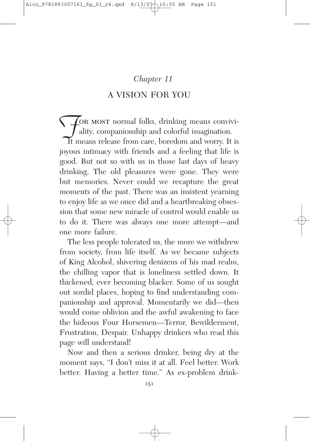## *Chapter 11*

## A VISION FOR YOU

 $\bigcup$ OR MOST normal folks, drinking means conviviality, companionship and colorful imagination.

It means release from care, boredom and worry. It is joyous intimacy with friends and a feeling that life is good. But not so with us in those last days of heavy drinking. The old pleasures were gone. They were but memories. Never could we recapture the great moments of the past. There was an insistent yearning to enjoy life as we once did and a heartbreaking obsession that some new miracle of control would enable us to do it. There was always one more attempt—and one more failure.

The less people tolerated us, the more we withdrew from society, from life itself. As we became subjects of King Alcohol, shivering denizens of his mad realm, the chilling vapor that is loneliness settled down. It thickened, ever becoming blacker. Some of us sought out sordid places, hoping to find understanding companionship and approval. Momentarily we did—then would come oblivion and the awful awakening to face the hideous Four Horsemen—Terror, Bewilderment, Frustration, Despair. Unhappy drinkers who read this page will understand!

Now and then a serious drinker, being dry at the moment says, "I don't miss it at all. Feel better. Work better. Having a better time." As ex-problem drink-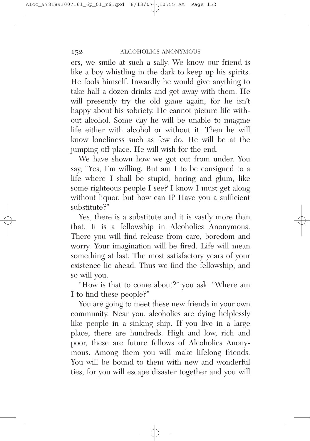ers, we smile at such a sally. We know our friend is like a boy whistling in the dark to keep up his spirits. He fools himself. Inwardly he would give anything to take half a dozen drinks and get away with them. He will presently try the old game again, for he isn't happy about his sobriety. He cannot picture life without alcohol. Some day he will be unable to imagine life either with alcohol or without it. Then he will know loneliness such as few do. He will be at the jumping-off place. He will wish for the end.

We have shown how we got out from under. You say, "Yes, I'm willing. But am I to be consigned to a life where I shall be stupid, boring and glum, like some righteous people I see? I know I must get along without liquor, but how can I? Have you a sufficient substitute<sup>2"</sup>

Yes, there is a substitute and it is vastly more than that. It is a fellowship in Alcoholics Anonymous. There you will find release from care, boredom and worry. Your imagination will be fired. Life will mean something at last. The most satisfactory years of your existence lie ahead. Thus we find the fellowship, and so will you.

"How is that to come about?" you ask. "Where am I to find these people?"

You are going to meet these new friends in your own community. Near you, alcoholics are dying helplessly like people in a sinking ship. If you live in a large place, there are hundreds. High and low, rich and poor, these are future fellows of Alcoholics Anonymous. Among them you will make lifelong friends. You will be bound to them with new and wonderful ties, for you will escape disaster together and you will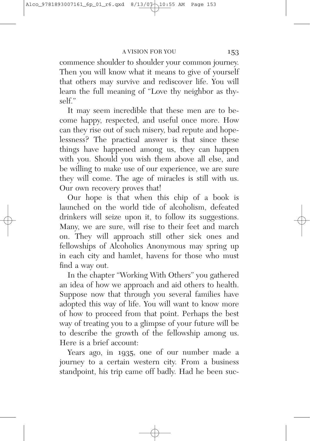commence shoulder to shoulder your common journey. Then you will know what it means to give of yourself that others may survive and rediscover life. You will learn the full meaning of "Love thy neighbor as thyself"

It may seem incredible that these men are to become happy, respected, and useful once more. How can they rise out of such misery, bad repute and hopelessness? The practical answer is that since these things have happened among us, they can happen with you. Should you wish them above all else, and be willing to make use of our experience, we are sure they will come. The age of miracles is still with us. Our own recovery proves that!

Our hope is that when this chip of a book is launched on the world tide of alcoholism, defeated drinkers will seize upon it, to follow its suggestions. Many, we are sure, will rise to their feet and march on. They will approach still other sick ones and fellowships of Alcoholics Anonymous may spring up in each city and hamlet, havens for those who must find a way out.

In the chapter "Working With Others" you gathered an idea of how we approach and aid others to health. Suppose now that through you several families have adopted this way of life. You will want to know more of how to proceed from that point. Perhaps the best way of treating you to a glimpse of your future will be to describe the growth of the fellowship among us. Here is a brief account:

Years ago, in 1935, one of our number made a journey to a certain western city. From a business standpoint, his trip came off badly. Had he been suc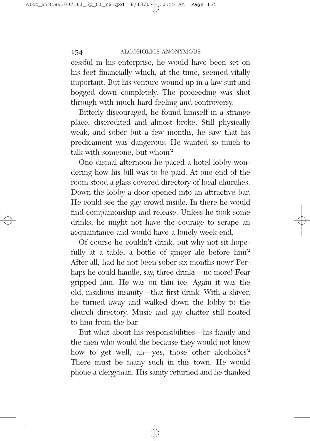cessful in his enterprise, he would have been set on his feet financially which, at the time, seemed vitally important. But his venture wound up in a law suit and bogged down completely. The proceeding was shot through with much hard feeling and controversy.

Bitterly discouraged, he found himself in a strange place, discredited and almost broke. Still physically weak, and sober but a few months, he saw that his predicament was dangerous. He wanted so much to talk with someone, but whom?

One dismal afternoon he paced a hotel lobby wondering how his bill was to be paid. At one end of the room stood a glass covered directory of local churches. Down the lobby a door opened into an attractive bar. He could see the gay crowd inside. In there he would find companionship and release. Unless he took some drinks, he might not have the courage to scrape an acquaintance and would have a lonely week-end.

Of course he couldn't drink, but why not sit hopefully at a table, a bottle of ginger ale before him? After all, had he not been sober six months now? Perhaps he could handle, say, three drinks—no more! Fear gripped him. He was on thin ice. Again it was the old, insidious insanity—that first drink. With a shiver, he turned away and walked down the lobby to the church directory. Music and gay chatter still floated to him from the bar.

But what about his responsibilities—his family and the men who would die because they would not know how to get well, ah—yes, those other alcoholics? There must be many such in this town. He would phone a clergyman. His sanity returned and he thanked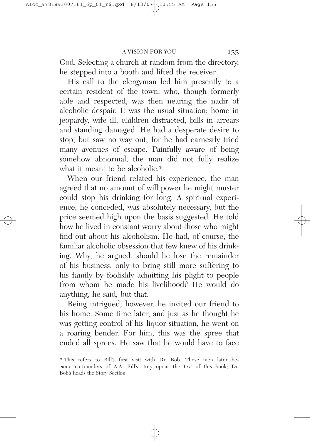God. Selecting a church at random from the directory, he stepped into a booth and lifted the receiver.

His call to the clergyman led him presently to a certain resident of the town, who, though formerly able and respected, was then nearing the nadir of alcoholic despair. It was the usual situation: home in jeopardy, wife ill, children distracted, bills in arrears and standing damaged. He had a desperate desire to stop, but saw no way out, for he had earnestly tried many avenues of escape. Painfully aware of being somehow abnormal, the man did not fully realize what it meant to be alcoholic.\*

When our friend related his experience, the man agreed that no amount of will power he might muster could stop his drinking for long. A spiritual experience, he conceded, was absolutely necessary, but the price seemed high upon the basis suggested. He told how he lived in constant worry about those who might find out about his alcoholism. He had, of course, the familiar alcoholic obsession that few knew of his drinking. Why, he argued, should he lose the remainder of his business, only to bring still more suffering to his family by foolishly admitting his plight to people from whom he made his livelihood? He would do anything, he said, but that.

Being intrigued, however, he invited our friend to his home. Some time later, and just as he thought he was getting control of his liquor situation, he went on a roaring bender. For him, this was the spree that ended all sprees. He saw that he would have to face

<sup>\*</sup> This refers to Bill's first visit with Dr. Bob. These men later became co-founders of A.A. Bill's story opens the text of this book; Dr. Bob's heads the Story Section.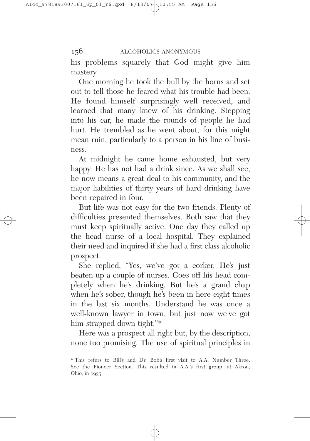his problems squarely that God might give him mastery.

One morning he took the bull by the horns and set out to tell those he feared what his trouble had been. He found himself surprisingly well received, and learned that many knew of his drinking. Stepping into his car, he made the rounds of people he had hurt. He trembled as he went about, for this might mean ruin, particularly to a person in his line of business.

At midnight he came home exhausted, but very happy. He has not had a drink since. As we shall see, he now means a great deal to his community, and the major liabilities of thirty years of hard drinking have been repaired in four.

But life was not easy for the two friends. Plenty of difficulties presented themselves. Both saw that they must keep spiritually active. One day they called up the head nurse of a local hospital. They explained their need and inquired if she had a first class alcoholic prospect.

She replied, "Yes, we've got a corker. He's just beaten up a couple of nurses. Goes off his head completely when he's drinking. But he's a grand chap when he's sober, though he's been in here eight times in the last six months. Understand he was once a well-known lawyer in town, but just now we've got him strapped down tight."\*

Here was a prospect all right but, by the description, none too promising. The use of spiritual principles in

<sup>\*</sup> This refers to Bill's and Dr. Bob's first visit to A.A. Number Three. See the Pioneer Section. This resulted in A.A.'s first group, at Akron, Ohio, in 1935.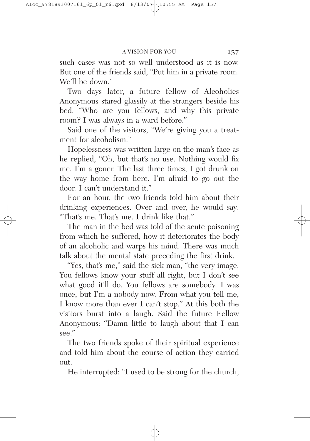such cases was not so well understood as it is now. But one of the friends said, "Put him in a private room. We'll be down."

Two days later, a future fellow of Alcoholics Anonymous stared glassily at the strangers beside his bed. "Who are you fellows, and why this private room? I was always in a ward before."

Said one of the visitors, "We're giving you a treatment for alcoholism."

Hopelessness was written large on the man's face as he replied, "Oh, but that's no use. Nothing would fix me. I'm a goner. The last three times, I got drunk on the way home from here. I'm afraid to go out the door. Lean't understand it."

For an hour, the two friends told him about their drinking experiences. Over and over, he would say: "That's me. That's me. I drink like that."

The man in the bed was told of the acute poisoning from which he suffered, how it deteriorates the body of an alcoholic and warps his mind. There was much talk about the mental state preceding the first drink.

"Yes, that's me," said the sick man, "the very image. You fellows know your stuff all right, but I don't see what good it'll do. You fellows are somebody. I was once, but I'm a nobody now. From what you tell me, I know more than ever I can't stop." At this both the visitors burst into a laugh. Said the future Fellow Anonymous: "Damn little to laugh about that I can see."

The two friends spoke of their spiritual experience and told him about the course of action they carried out.

He interrupted: "I used to be strong for the church,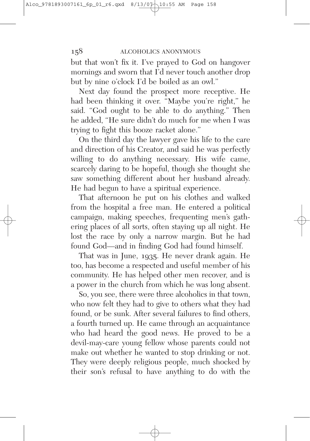but that won't fix it. I've prayed to God on hangover mornings and sworn that I'd never touch another drop but by nine o'clock I'd be boiled as an owl."

Next day found the prospect more receptive. He had been thinking it over. "Maybe you're right," he said. "God ought to be able to do anything." Then he added, "He sure didn't do much for me when I was trying to fight this booze racket alone."

On the third day the lawyer gave his life to the care and direction of his Creator, and said he was perfectly willing to do anything necessary. His wife came, scarcely daring to be hopeful, though she thought she saw something different about her husband already. He had begun to have a spiritual experience.

That afternoon he put on his clothes and walked from the hospital a free man. He entered a political campaign, making speeches, frequenting men's gathering places of all sorts, often staying up all night. He lost the race by only a narrow margin. But he had found God—and in finding God had found himself.

That was in June, 1935. He never drank again. He too, has become a respected and useful member of his community. He has helped other men recover, and is a power in the church from which he was long absent.

So, you see, there were three alcoholics in that town, who now felt they had to give to others what they had found, or be sunk. After several failures to find others, a fourth turned up. He came through an acquaintance who had heard the good news. He proved to be a devil-may-care young fellow whose parents could not make out whether he wanted to stop drinking or not. They were deeply religious people, much shocked by their son's refusal to have anything to do with the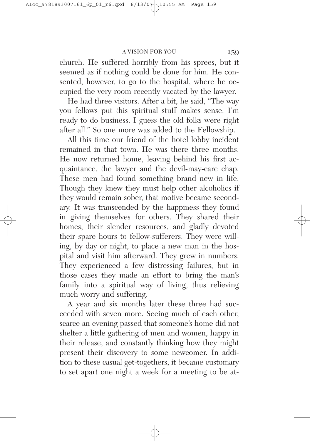church. He suffered horribly from his sprees, but it seemed as if nothing could be done for him. He consented, however, to go to the hospital, where he occupied the very room recently vacated by the lawyer.

He had three visitors. After a bit, he said, "The way you fellows put this spiritual stuff makes sense. I'm ready to do business. I guess the old folks were right after all." So one more was added to the Fellowship.

All this time our friend of the hotel lobby incident remained in that town. He was there three months. He now returned home, leaving behind his first acquaintance, the lawyer and the devil-may-care chap. These men had found something brand new in life. Though they knew they must help other alcoholics if they would remain sober, that motive became secondary. It was transcended by the happiness they found in giving themselves for others. They shared their homes, their slender resources, and gladly devoted their spare hours to fellow-sufferers. They were willing, by day or night, to place a new man in the hospital and visit him afterward. They grew in numbers. They experienced a few distressing failures, but in those cases they made an effort to bring the man's family into a spiritual way of living, thus relieving much worry and suffering.

A year and six months later these three had succeeded with seven more. Seeing much of each other, scarce an evening passed that someone's home did not shelter a little gathering of men and women, happy in their release, and constantly thinking how they might present their discovery to some newcomer. In addition to these casual get-togethers, it became customary to set apart one night a week for a meeting to be at-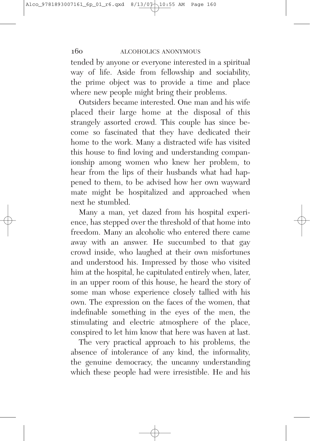tended by anyone or everyone interested in a spiritual way of life. Aside from fellowship and sociability, the prime object was to provide a time and place where new people might bring their problems.

Outsiders became interested. One man and his wife placed their large home at the disposal of this strangely assorted crowd. This couple has since become so fascinated that they have dedicated their home to the work. Many a distracted wife has visited this house to find loving and understanding companionship among women who knew her problem, to hear from the lips of their husbands what had happened to them, to be advised how her own wayward mate might be hospitalized and approached when next he stumbled.

Many a man, yet dazed from his hospital experience, has stepped over the threshold of that home into freedom. Many an alcoholic who entered there came away with an answer. He succumbed to that gay crowd inside, who laughed at their own misfortunes and understood his. Impressed by those who visited him at the hospital, he capitulated entirely when, later, in an upper room of this house, he heard the story of some man whose experience closely tallied with his own. The expression on the faces of the women, that indefinable something in the eyes of the men, the stimulating and electric atmosphere of the place, conspired to let him know that here was haven at last.

The very practical approach to his problems, the absence of intolerance of any kind, the informality, the genuine democracy, the uncanny understanding which these people had were irresistible. He and his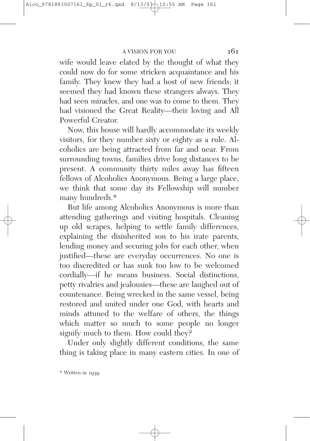wife would leave elated by the thought of what they could now do for some stricken acquaintance and his family. They knew they had a host of new friends; it seemed they had known these strangers always. They had seen miracles, and one was to come to them. They had visioned the Great Reality—their loving and All Powerful Creator.

Now, this house will hardly accommodate its weekly visitors, for they number sixty or eighty as a rule. Alcoholics are being attracted from far and near. From surrounding towns, families drive long distances to be present. A community thirty miles away has fifteen fellows of Alcoholics Anonymous. Being a large place, we think that some day its Fellowship will number many hundreds.\*

But life among Alcoholics Anonymous is more than attending gatherings and visiting hospitals. Cleaning up old scrapes, helping to settle family differences, explaining the disinherited son to his irate parents, lending money and securing jobs for each other, when justified—these are everyday occurrences. No one is too discredited or has sunk too low to be welcomed cordially—if he means business. Social distinctions, petty rivalries and jealousies—these are laughed out of countenance. Being wrecked in the same vessel, being restored and united under one God, with hearts and minds attuned to the welfare of others, the things which matter so much to some people no longer signify much to them. How could they?

Under only slightly different conditions, the same thing is taking place in many eastern cities. In one of

<sup>\*</sup> Written in 1939.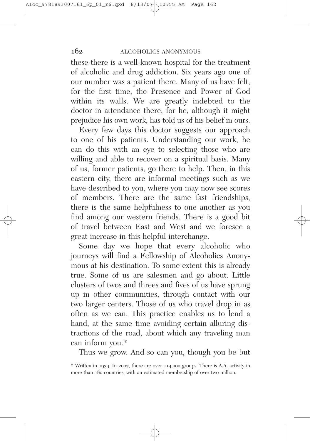these there is a well-known hospital for the treatment of alcoholic and drug addiction. Six years ago one of our number was a patient there. Many of us have felt, for the first time, the Presence and Power of God within its walls. We are greatly indebted to the doctor in attendance there, for he, although it might prejudice his own work, has told us of his belief in ours.

Every few days this doctor suggests our approach to one of his patients. Understanding our work, he can do this with an eye to selecting those who are willing and able to recover on a spiritual basis. Many of us, former patients, go there to help. Then, in this eastern city, there are informal meetings such as we have described to you, where you may now see scores of members. There are the same fast friendships, there is the same helpfulness to one another as you find among our western friends. There is a good bit of travel between East and West and we foresee a great increase in this helpful interchange.

Some day we hope that every alcoholic who journeys will find a Fellowship of Alcoholics Anonymous at his destination. To some extent this is already true. Some of us are salesmen and go about. Little clusters of twos and threes and fives of us have sprung up in other communities, through contact with our two larger centers. Those of us who travel drop in as often as we can. This practice enables us to lend a hand, at the same time avoiding certain alluring distractions of the road, about which any traveling man can inform you.\*

Thus we grow. And so can you, though you be but

<sup>\*</sup> Written in 1939. In 2007, there are over 114,000 groups. There is A.A. activity in more than 180 countries, with an estimated membership of over two million.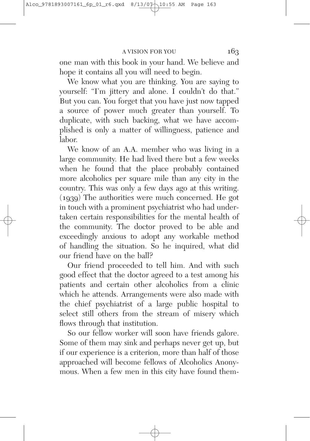one man with this book in your hand. We believe and hope it contains all you will need to begin.

We know what you are thinking. You are saying to yourself: "I'm jittery and alone. I couldn't do that." But you can. You forget that you have just now tapped a source of power much greater than yourself. To duplicate, with such backing, what we have accomplished is only a matter of willingness, patience and labor.

We know of an A.A. member who was living in a large community. He had lived there but a few weeks when he found that the place probably contained more alcoholics per square mile than any city in the country. This was only a few days ago at this writing. (1939) The authorities were much concerned. He got in touch with a prominent psychiatrist who had undertaken certain responsibilities for the mental health of the community. The doctor proved to be able and exceedingly anxious to adopt any workable method of handling the situation. So he inquired, what did our friend have on the ball?

Our friend proceeded to tell him. And with such good effect that the doctor agreed to a test among his patients and certain other alcoholics from a clinic which he attends. Arrangements were also made with the chief psychiatrist of a large public hospital to select still others from the stream of misery which flows through that institution.

So our fellow worker will soon have friends galore. Some of them may sink and perhaps never get up, but if our experience is a criterion, more than half of those approached will become fellows of Alcoholics Anonymous. When a few men in this city have found them